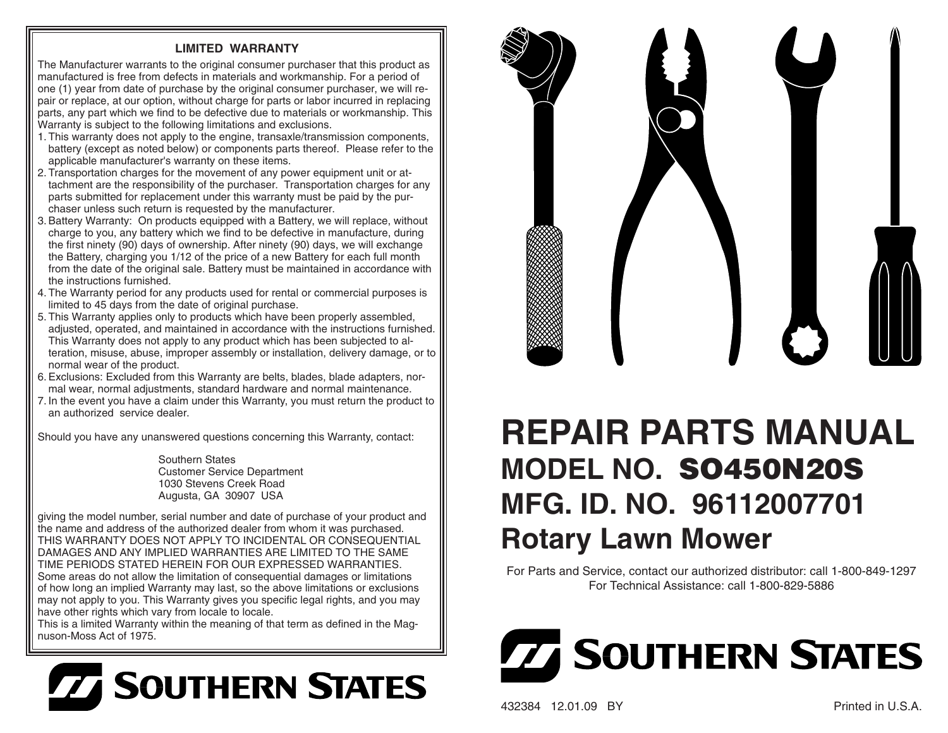## **LIMITED WARRANTY**

The Manufacturer warrants to the original consumer purchaser that this product as manufactured is free from defects in materials and workmanship. For a period of one (1) year from date of purchase by the original consumer purchaser, we will repair or replace, at our option, without charge for parts or labor incurred in replacing parts, any part which we find to be defective due to materials or work manship. This Warranty is subject to the following limitations and exclusions.

- 1. This warranty does not apply to the engine, transaxle/transmission components, battery (except as noted below) or components parts thereof. Please refer to the applicable manufacturer's warranty on these items.
- 2. Transportation charges for the movement of any power equipment unit or attachment are the responsibility of the purchaser. Transportation charges for any parts submitted for replacement under this warranty must be paid by the purchaser unless such return is requested by the manufacturer.
- 3. Battery Warranty: On products equipped with a Battery, we will replace, without charge to you, any battery which we find to be defective in manufacture, during the first ninety (90) days of ownership. After ninety (90) days, we will exchange the Battery, charging you 1/12 of the price of a new Battery for each full month from the date of the original sale. Battery must be maintained in accordance with the instructions furnished.
- 4. The Warranty period for any products used for rental or commercial purposes is limited to 45 days from the date of original purchase.
- 5. This Warranty applies only to products which have been properly assembled, adjusted, operated, and maintained in accordance with the instructions furnished. This Warranty does not apply to any product which has been subjected to alteration, misuse, abuse, improper assembly or installation, delivery damage, or to normal wear of the product.
- 6. Exclusions: Excluded from this Warranty are belts, blades, blade adapters, normal wear, normal adjustments, standard hardware and normal maintenance.
- 7. In the event you have a claim under this Warranty, you must return the product to an authorized service dealer.

Should you have any unanswered questions concerning this Warranty, contact:

Southern StatesCustomer Service Department 1030 Stevens Creek RoadAugusta, GA 30907 USA

giving the model number, serial number and date of purchase of your product and the name and address of the authorized dealer from whom it was purchased. THIS WARRANTY DOES NOT APPLY TO INCIDENTAL OR CONSEQUENTIAL DAMAGES AND ANY IMPLIED WARRANTIES ARE LIMITED TO THE SAME TIME PERIODS STATED HEREIN FOR OUR EXPRESSED WARRANTIES. Some areas do not allow the limitation of consequential damages or limitations of how long an implied Warranty may last, so the above limitations or exclusions may not apply to you. This Warranty gives you specific legal rights, and you may have other rights which vary from locale to locale.

This is a limited Warranty within the meaning of that term as defined in the Magnuson-Moss Act of 1975.





## **REPAIR PARTS MANUALMODEL NO. SO450N20S MFG. ID. NO. 96112007701Rotary Lawn Mower**

For Parts and Service, contact our authorized distributor: call 1-800-849-1297 For Technical Assistance: call 1-800-829-5886



432384 12.01.09 BY Printed in U.S.A.